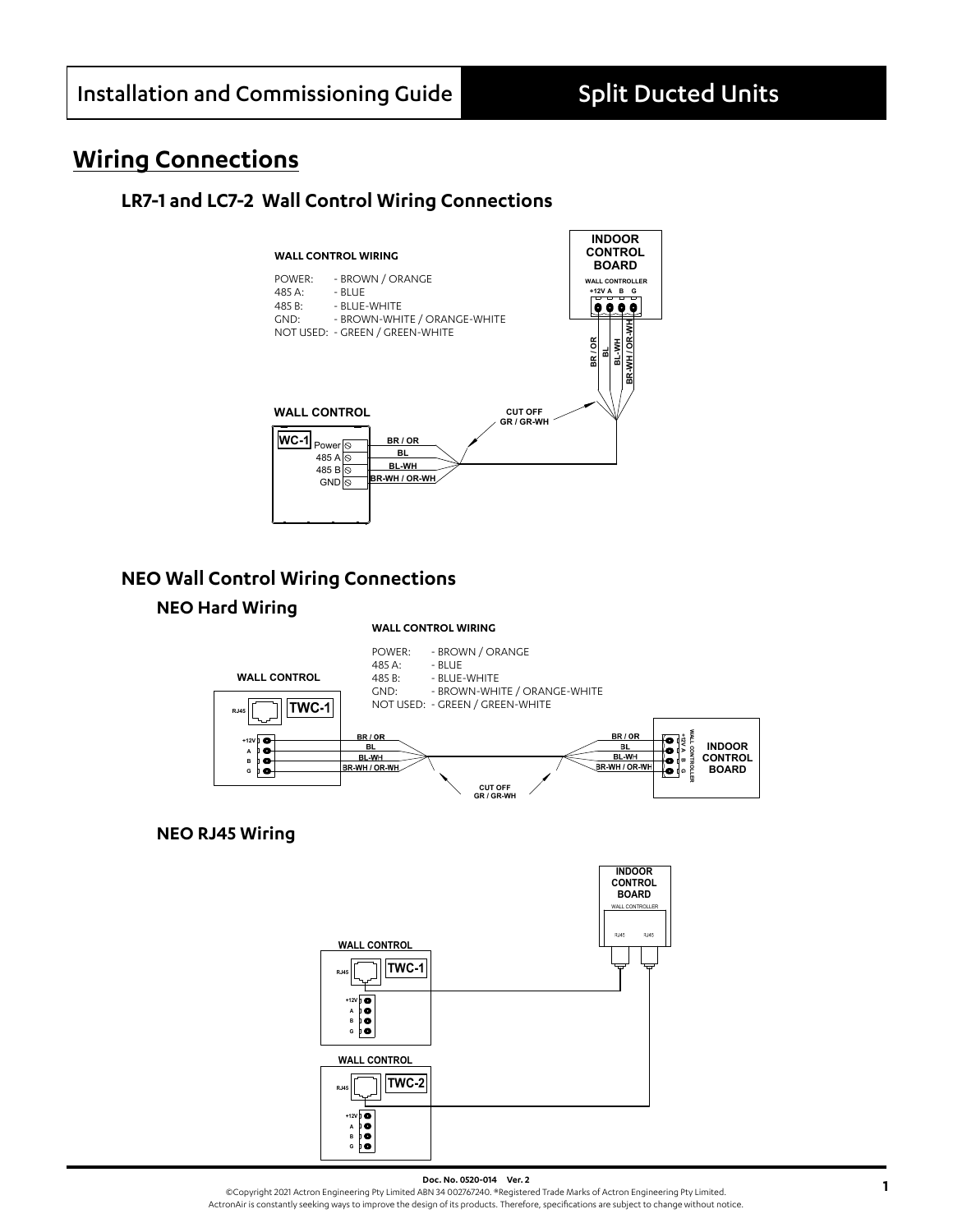# **Wiring Connections**

## **LR7-1 and LC7-2 Wall Control Wiring Connections**



## **NEO Wall Control Wiring Connections**

### **NEO Hard Wiring**

#### **WALL CONTROL WIRING**



### **NEO RJ45 Wiring**